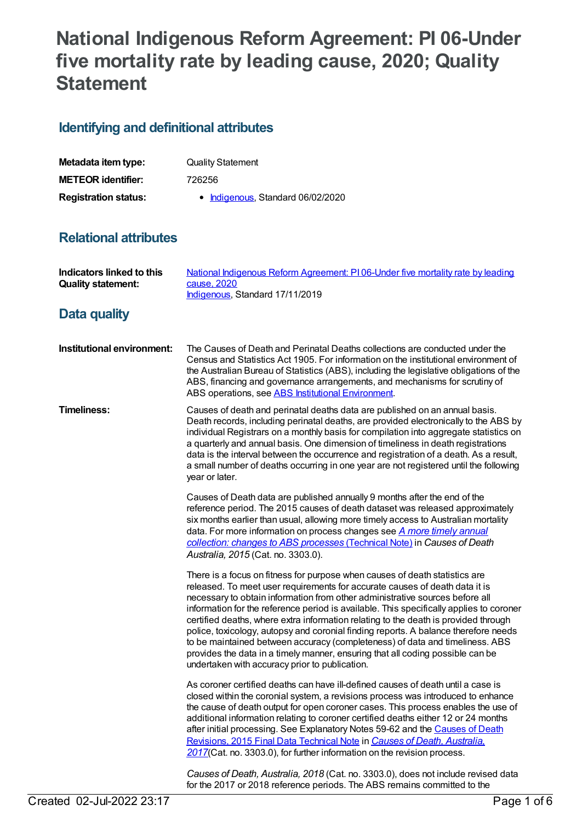# **National Indigenous Reform Agreement: PI 06-Under five mortality rate by leading cause, 2020; Quality Statement**

### **Identifying and definitional attributes**

| Metadata item type:         | <b>Quality Statement</b>          |
|-----------------------------|-----------------------------------|
| <b>METEOR identifier:</b>   | 726256                            |
| <b>Registration status:</b> | • Indigenous, Standard 06/02/2020 |

#### **Relational attributes**

| <b>Indicators linked to this</b><br><b>Quality statement:</b> | National Indigenous Reform Agreement: PI06-Under five mortality rate by leading<br>cause, 2020<br>Indigenous, Standard 17/11/2019                                                                                                                                                                                                                                                                                                                                                                                                                                                                                                                                                                                                       |
|---------------------------------------------------------------|-----------------------------------------------------------------------------------------------------------------------------------------------------------------------------------------------------------------------------------------------------------------------------------------------------------------------------------------------------------------------------------------------------------------------------------------------------------------------------------------------------------------------------------------------------------------------------------------------------------------------------------------------------------------------------------------------------------------------------------------|
| Data quality                                                  |                                                                                                                                                                                                                                                                                                                                                                                                                                                                                                                                                                                                                                                                                                                                         |
| Institutional environment:                                    | The Causes of Death and Perinatal Deaths collections are conducted under the<br>Census and Statistics Act 1905. For information on the institutional environment of<br>the Australian Bureau of Statistics (ABS), including the legislative obligations of the<br>ABS, financing and governance arrangements, and mechanisms for scrutiny of<br>ABS operations, see ABS Institutional Environment.                                                                                                                                                                                                                                                                                                                                      |
| <b>Timeliness:</b>                                            | Causes of death and perinatal deaths data are published on an annual basis.<br>Death records, including perinatal deaths, are provided electronically to the ABS by<br>individual Registrars on a monthly basis for compilation into aggregate statistics on<br>a quarterly and annual basis. One dimension of timeliness in death registrations<br>data is the interval between the occurrence and registration of a death. As a result,<br>a small number of deaths occurring in one year are not registered until the following<br>year or later.                                                                                                                                                                                    |
|                                                               | Causes of Death data are published annually 9 months after the end of the<br>reference period. The 2015 causes of death dataset was released approximately<br>six months earlier than usual, allowing more timely access to Australian mortality<br>data. For more information on process changes see <i>A more timely annual</i><br>collection: changes to ABS processes (Technical Note) in Causes of Death<br>Australia, 2015 (Cat. no. 3303.0).                                                                                                                                                                                                                                                                                     |
|                                                               | There is a focus on fitness for purpose when causes of death statistics are<br>released. To meet user requirements for accurate causes of death data it is<br>necessary to obtain information from other administrative sources before all<br>information for the reference period is available. This specifically applies to coroner<br>certified deaths, where extra information relating to the death is provided through<br>police, toxicology, autopsy and coronial finding reports. A balance therefore needs<br>to be maintained between accuracy (completeness) of data and timeliness. ABS<br>provides the data in a timely manner, ensuring that all coding possible can be<br>undertaken with accuracy prior to publication. |
|                                                               | As coroner certified deaths can have ill-defined causes of death until a case is<br>closed within the coronial system, a revisions process was introduced to enhance<br>the cause of death output for open coroner cases. This process enables the use of<br>additional information relating to coroner certified deaths either 12 or 24 months<br>after initial processing. See Explanatory Notes 59-62 and the Causes of Death<br>Revisions, 2015 Final Data Technical Note in Causes of Death, Australia.<br>2017(Cat. no. 3303.0), for further information on the revision process.                                                                                                                                                 |
|                                                               | Causes of Death, Australia, 2018 (Cat. no. 3303.0), does not include revised data<br>for the 2017 or 2018 reference periods. The ABS remains committed to the                                                                                                                                                                                                                                                                                                                                                                                                                                                                                                                                                                           |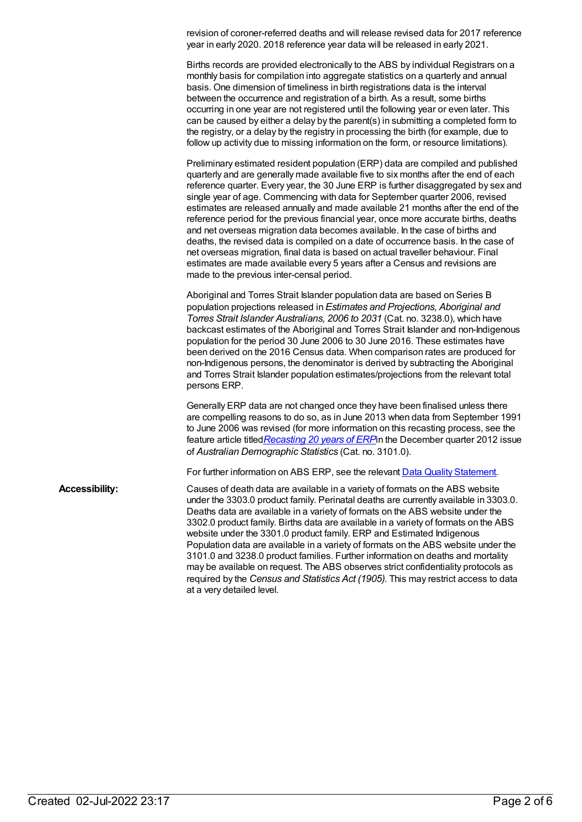revision of coroner-referred deaths and will release revised data for 2017 reference year in early 2020. 2018 reference year data will be released in early 2021.

Births records are provided electronically to the ABS by individual Registrars on a monthly basis for compilation into aggregate statistics on a quarterly and annual basis. One dimension of timeliness in birth registrations data is the interval between the occurrence and registration of a birth. As a result, some births occurring in one year are not registered until the following year or even later. This can be caused by either a delay by the parent(s) in submitting a completed form to the registry, or a delay by the registry in processing the birth (for example, due to follow up activity due to missing information on the form, or resource limitations).

Preliminary estimated resident population (ERP) data are compiled and published quarterly and are generally made available five to six months after the end of each reference quarter. Every year, the 30 June ERP is further disaggregated by sex and single year of age. Commencing with data for September quarter 2006, revised estimates are released annually and made available 21 months after the end of the reference period for the previous financial year, once more accurate births, deaths and net overseas migration data becomes available. In the case of births and deaths, the revised data is compiled on a date of occurrence basis. In the case of net overseas migration, final data is based on actual traveller behaviour. Final estimates are made available every 5 years after a Census and revisions are made to the previous inter-censal period.

Aboriginal and Torres Strait Islander population data are based on Series B population projections released in *Estimates and Projections, Aboriginal and Torres Strait Islander Australians, 2006 to 2031* (Cat. no. 3238.0), which have backcast estimates of the Aboriginal and Torres Strait Islander and non-Indigenous population for the period 30 June 2006 to 30 June 2016. These estimates have been derived on the 2016 Census data. When comparison rates are produced for non-Indigenous persons, the denominator is derived by subtracting the Aboriginal and Torres Strait Islander population estimates/projections from the relevant total persons ERP.

Generally ERP data are not changed once they have been finalised unless there are compelling reasons to do so, as in June 2013 when data from September 1991 to June 2006 was revised (for more information on this recasting process, see the feature article titled*[Recasting](http://www.abs.gov.au/AUSSTATS/abs@.nsf/Previousproducts/3101.0Feature%20Article2Dec%202012?opendocument&tabname=Summary&prodno=3101.0&issue=Dec%202012&num=&view=) 20 years of ERP*in the December quarter 2012 issue of *Australian Demographic Statistics* (Cat. no. 3101.0).

For further information on ABS ERP, see the relevant Data Quality [Statement](https://www.abs.gov.au/AUSSTATS/abs@.nsf/Previousproducts/3101.0Quality%20Declaration0Mar%202019?opendocument&tabname=Notes&prodno=3101.0&issue=Mar%202019&num=&view=).

**Accessibility:** Causes of death data are available in a variety of formats on the ABS website under the 3303.0 product family. Perinatal deaths are currently available in 3303.0. Deaths data are available in a variety of formats on the ABS website under the 3302.0 product family. Births data are available in a variety of formats on the ABS website under the 3301.0 product family. ERP and Estimated Indigenous Population data are available in a variety of formats on the ABS website under the 3101.0 and 3238.0 product families. Further information on deaths and mortality may be available on request. The ABS observes strict confidentiality protocols as required by the *Census and Statistics Act (1905)*. This may restrict access to data at a very detailed level.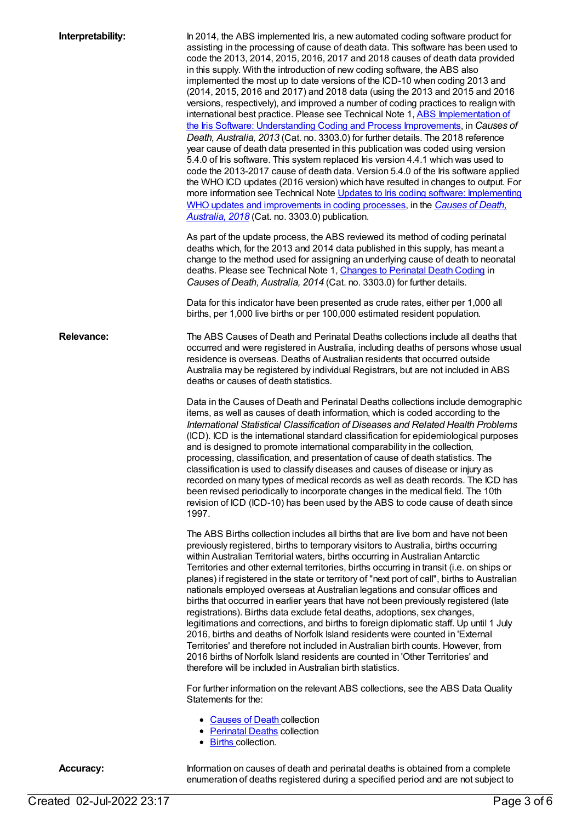| Interpretability: | In 2014, the ABS implemented Iris, a new automated coding software product for<br>assisting in the processing of cause of death data. This software has been used to<br>code the 2013, 2014, 2015, 2016, 2017 and 2018 causes of death data provided<br>in this supply. With the introduction of new coding software, the ABS also<br>implemented the most up to date versions of the ICD-10 when coding 2013 and<br>(2014, 2015, 2016 and 2017) and 2018 data (using the 2013 and 2015 and 2016<br>versions, respectively), and improved a number of coding practices to realign with<br>international best practice. Please see Technical Note 1, ABS Implementation of<br>the Iris Software: Understanding Coding and Process Improvements, in Causes of<br>Death, Australia, 2013 (Cat. no. 3303.0) for further details. The 2018 reference<br>year cause of death data presented in this publication was coded using version<br>5.4.0 of Iris software. This system replaced Iris version 4.4.1 which was used to<br>code the 2013-2017 cause of death data. Version 5.4.0 of the Iris software applied<br>the WHO ICD updates (2016 version) which have resulted in changes to output. For<br>more information see Technical Note Updates to Iris coding software: Implementing<br>WHO updates and improvements in coding processes, in the Causes of Death,<br>Australia, 2018 (Cat. no. 3303.0) publication.<br>As part of the update process, the ABS reviewed its method of coding perinatal<br>deaths which, for the 2013 and 2014 data published in this supply, has meant a<br>change to the method used for assigning an underlying cause of death to neonatal<br>deaths. Please see Technical Note 1, Changes to Perinatal Death Coding in<br>Causes of Death, Australia, 2014 (Cat. no. 3303.0) for further details.<br>Data for this indicator have been presented as crude rates, either per 1,000 all<br>births, per 1,000 live births or per 100,000 estimated resident population. |
|-------------------|---------------------------------------------------------------------------------------------------------------------------------------------------------------------------------------------------------------------------------------------------------------------------------------------------------------------------------------------------------------------------------------------------------------------------------------------------------------------------------------------------------------------------------------------------------------------------------------------------------------------------------------------------------------------------------------------------------------------------------------------------------------------------------------------------------------------------------------------------------------------------------------------------------------------------------------------------------------------------------------------------------------------------------------------------------------------------------------------------------------------------------------------------------------------------------------------------------------------------------------------------------------------------------------------------------------------------------------------------------------------------------------------------------------------------------------------------------------------------------------------------------------------------------------------------------------------------------------------------------------------------------------------------------------------------------------------------------------------------------------------------------------------------------------------------------------------------------------------------------------------------------------------------------------------------------------------------------------------------------------------------------|
| <b>Relevance:</b> | The ABS Causes of Death and Perinatal Deaths collections include all deaths that<br>occurred and were registered in Australia, including deaths of persons whose usual<br>residence is overseas. Deaths of Australian residents that occurred outside<br>Australia may be registered by individual Registrars, but are not included in ABS<br>deaths or causes of death statistics.                                                                                                                                                                                                                                                                                                                                                                                                                                                                                                                                                                                                                                                                                                                                                                                                                                                                                                                                                                                                                                                                                                                                                                                                                                                                                                                                                                                                                                                                                                                                                                                                                     |
|                   | Data in the Causes of Death and Perinatal Deaths collections include demographic<br>items, as well as causes of death information, which is coded according to the<br>International Statistical Classification of Diseases and Related Health Problems<br>(ICD). ICD is the international standard classification for epidemiological purposes<br>and is designed to promote international comparability in the collection,<br>processing, classification, and presentation of cause of death statistics. The<br>classification is used to classify diseases and causes of disease or injury as<br>recorded on many types of medical records as well as death records. The ICD has<br>been revised periodically to incorporate changes in the medical field. The 10th<br>revision of ICD (ICD-10) has been used by the ABS to code cause of death since<br>1997.                                                                                                                                                                                                                                                                                                                                                                                                                                                                                                                                                                                                                                                                                                                                                                                                                                                                                                                                                                                                                                                                                                                                        |
|                   | The ABS Births collection includes all births that are live born and have not been<br>previously registered, births to temporary visitors to Australia, births occurring<br>within Australian Territorial waters, births occurring in Australian Antarctic<br>Territories and other external territories, births occurring in transit (i.e. on ships or<br>planes) if registered in the state or territory of "next port of call", births to Australian<br>nationals employed overseas at Australian legations and consular offices and<br>births that occurred in earlier years that have not been previously registered (late<br>registrations). Births data exclude fetal deaths, adoptions, sex changes,<br>legitimations and corrections, and births to foreign diplomatic staff. Up until 1 July<br>2016, births and deaths of Norfolk Island residents were counted in 'External<br>Territories' and therefore not included in Australian birth counts. However, from<br>2016 births of Norfolk Island residents are counted in 'Other Territories' and<br>therefore will be included in Australian birth statistics.                                                                                                                                                                                                                                                                                                                                                                                                                                                                                                                                                                                                                                                                                                                                                                                                                                                                            |
|                   | For further information on the relevant ABS collections, see the ABS Data Quality<br>Statements for the:                                                                                                                                                                                                                                                                                                                                                                                                                                                                                                                                                                                                                                                                                                                                                                                                                                                                                                                                                                                                                                                                                                                                                                                                                                                                                                                                                                                                                                                                                                                                                                                                                                                                                                                                                                                                                                                                                                |
|                   | • Causes of Death collection<br>• Perinatal Deaths collection<br>• Births collection.                                                                                                                                                                                                                                                                                                                                                                                                                                                                                                                                                                                                                                                                                                                                                                                                                                                                                                                                                                                                                                                                                                                                                                                                                                                                                                                                                                                                                                                                                                                                                                                                                                                                                                                                                                                                                                                                                                                   |
| <b>Accuracy:</b>  | Information on causes of death and perinatal deaths is obtained from a complete<br>enumeration of deaths registered during a specified period and are not subject to                                                                                                                                                                                                                                                                                                                                                                                                                                                                                                                                                                                                                                                                                                                                                                                                                                                                                                                                                                                                                                                                                                                                                                                                                                                                                                                                                                                                                                                                                                                                                                                                                                                                                                                                                                                                                                    |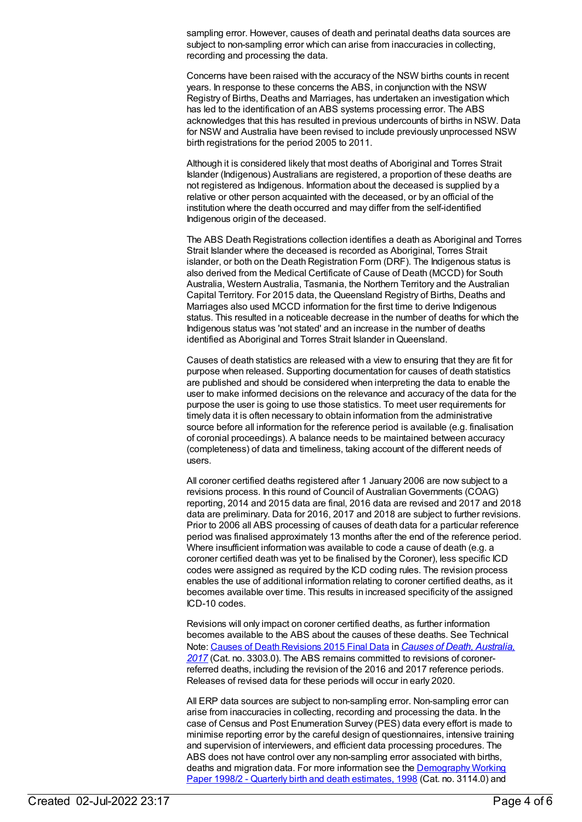sampling error. However, causes of death and perinatal deaths data sources are subject to non-sampling error which can arise from inaccuracies in collecting, recording and processing the data.

Concerns have been raised with the accuracy of the NSW births counts in recent years. In response to these concerns the ABS, in conjunction with the NSW Registry of Births, Deaths and Marriages, has undertaken an investigation which has led to the identification of an ABS systems processing error. The ABS acknowledges that this has resulted in previous undercounts of births in NSW. Data for NSW and Australia have been revised to include previously unprocessed NSW birth registrations for the period 2005 to 2011.

Although it is considered likely that most deaths of Aboriginal and Torres Strait Islander (Indigenous) Australians are registered, a proportion of these deaths are not registered as Indigenous. Information about the deceased is supplied by a relative or other person acquainted with the deceased, or by an official of the institution where the death occurred and may differ from the self-identified Indigenous origin of the deceased.

The ABS Death Registrations collection identifies a death as Aboriginal and Torres Strait Islander where the deceased is recorded as Aboriginal, Torres Strait islander, or both on the Death Registration Form (DRF). The Indigenous status is also derived from the Medical Certificate of Cause of Death (MCCD) for South Australia, Western Australia, Tasmania, the Northern Territory and the Australian Capital Territory. For 2015 data, the Queensland Registry of Births, Deaths and Marriages also used MCCD information for the first time to derive Indigenous status. This resulted in a noticeable decrease in the number of deaths for which the Indigenous status was 'not stated' and an increase in the number of deaths identified as Aboriginal and Torres Strait Islander in Queensland.

Causes of death statistics are released with a view to ensuring that they are fit for purpose when released. Supporting documentation for causes of death statistics are published and should be considered when interpreting the data to enable the user to make informed decisions on the relevance and accuracy of the data for the purpose the user is going to use those statistics. To meet user requirements for timely data it is often necessary to obtain information from the administrative source before all information for the reference period is available (e.g. finalisation of coronial proceedings). A balance needs to be maintained between accuracy (completeness) of data and timeliness, taking account of the different needs of users.

All coroner certified deaths registered after 1 January 2006 are now subject to a revisions process. In this round of Council of Australian Governments (COAG) reporting, 2014 and 2015 data are final, 2016 data are revised and 2017 and 2018 data are preliminary. Data for 2016, 2017 and 2018 are subject to further revisions. Prior to 2006 all ABS processing of causes of death data for a particular reference period was finalised approximately 13 months after the end of the reference period. Where insufficient information was available to code a cause of death (e.g. a coroner certified death was yet to be finalised by the Coroner), less specific ICD codes were assigned as required by the ICD coding rules. The revision process enables the use of additional information relating to coroner certified deaths, as it becomes available over time. This results in increased specificity of the assigned ICD-10 codes.

Revisions will only impact on coroner certified deaths, as further information becomes available to the ABS about the causes of these deaths. See Technical Note: Causes of Death [Revisions](https://www.abs.gov.au/AUSSTATS/abs@.nsf/Previousproducts/3303.0Technical%20Note12017?opendocument&tabname=Notes&prodno=3303.0&issue=2017&num=&view=) 2015 Final Data in *Causes of Death, Australia, 2017* (Cat. no. 3303.0). The ABS remains [committed](https://www.abs.gov.au/AUSSTATS/abs@.nsf/Lookup/3303.0Main+Features12017?OpenDocument) to revisions of coronerreferred deaths, including the revision of the 2016 and 2017 reference periods. Releases of revised data for these periods will occur in early 2020.

All ERP data sources are subject to non-sampling error. Non-sampling error can arise from inaccuracies in collecting, recording and processing the data. In the case of Census and Post Enumeration Survey (PES) data every effort is made to minimise reporting error by the careful design of questionnaires, intensive training and supervision of interviewers, and efficient data processing procedures. The ABS does not have control over any non-sampling error associated with births, deaths and migration data. For more information see the **[Demography](http://www.abs.gov.au/AUSSTATS/abs@.nsf/ProductsbyCatalogue/B5BE54544A5DAFEFCA257061001F4540?OpenDocument) Working** Paper 1998/2 - Quarterly birth and death estimates, 1998 (Cat. no. 3114.0) and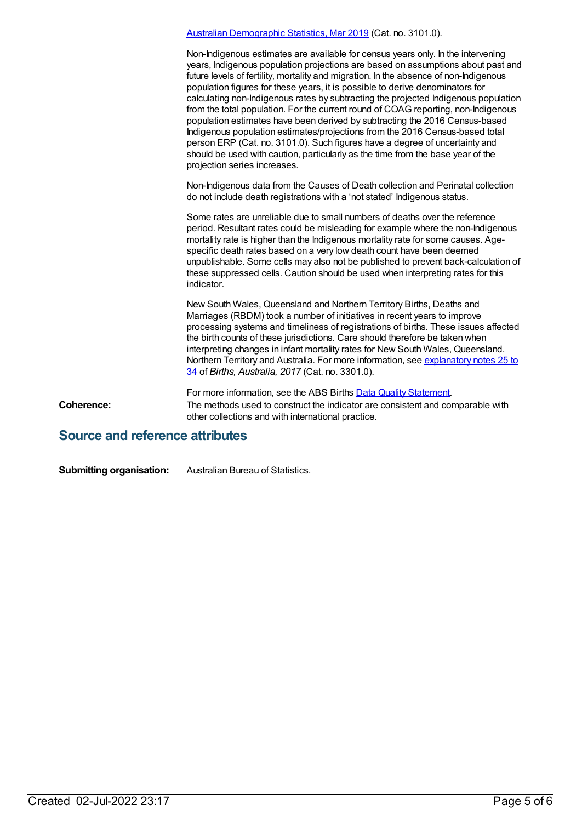|            | Australian Demographic Statistics, Mar 2019 (Cat. no. 3101.0).                                                                                                                                                                                                                                                                                                                                                                                                                                                                                                                                                                                                                                                                                                                                                                                                                               |
|------------|----------------------------------------------------------------------------------------------------------------------------------------------------------------------------------------------------------------------------------------------------------------------------------------------------------------------------------------------------------------------------------------------------------------------------------------------------------------------------------------------------------------------------------------------------------------------------------------------------------------------------------------------------------------------------------------------------------------------------------------------------------------------------------------------------------------------------------------------------------------------------------------------|
|            | Non-Indigenous estimates are available for census years only. In the intervening<br>years, Indigenous population projections are based on assumptions about past and<br>future levels of fertility, mortality and migration. In the absence of non-Indigenous<br>population figures for these years, it is possible to derive denominators for<br>calculating non-Indigenous rates by subtracting the projected Indigenous population<br>from the total population. For the current round of COAG reporting, non-Indigenous<br>population estimates have been derived by subtracting the 2016 Census-based<br>Indigenous population estimates/projections from the 2016 Census-based total<br>person ERP (Cat. no. 3101.0). Such figures have a degree of uncertainty and<br>should be used with caution, particularly as the time from the base year of the<br>projection series increases. |
|            | Non-Indigenous data from the Causes of Death collection and Perinatal collection<br>do not include death registrations with a 'not stated' Indigenous status.                                                                                                                                                                                                                                                                                                                                                                                                                                                                                                                                                                                                                                                                                                                                |
|            | Some rates are unreliable due to small numbers of deaths over the reference<br>period. Resultant rates could be misleading for example where the non-Indigenous<br>mortality rate is higher than the Indigenous mortality rate for some causes. Age-<br>specific death rates based on a very low death count have been deemed<br>unpublishable. Some cells may also not be published to prevent back-calculation of<br>these suppressed cells. Caution should be used when interpreting rates for this<br>indicator.                                                                                                                                                                                                                                                                                                                                                                         |
|            | New South Wales, Queensland and Northern Territory Births, Deaths and<br>Marriages (RBDM) took a number of initiatives in recent years to improve<br>processing systems and timeliness of registrations of births. These issues affected<br>the birth counts of these jurisdictions. Care should therefore be taken when<br>interpreting changes in infant mortality rates for New South Wales, Queensland.<br>Northern Territory and Australia. For more information, see explanatory notes 25 to<br>34 of Births, Australia, 2017 (Cat. no. 3301.0).                                                                                                                                                                                                                                                                                                                                       |
|            | For more information, see the ABS Births Data Quality Statement.                                                                                                                                                                                                                                                                                                                                                                                                                                                                                                                                                                                                                                                                                                                                                                                                                             |
| Coherence: | The methods used to construct the indicator are consistent and comparable with<br>other collections and with international practice.                                                                                                                                                                                                                                                                                                                                                                                                                                                                                                                                                                                                                                                                                                                                                         |

## **Source and reference attributes**

**Submitting organisation:** Australian Bureau of Statistics.